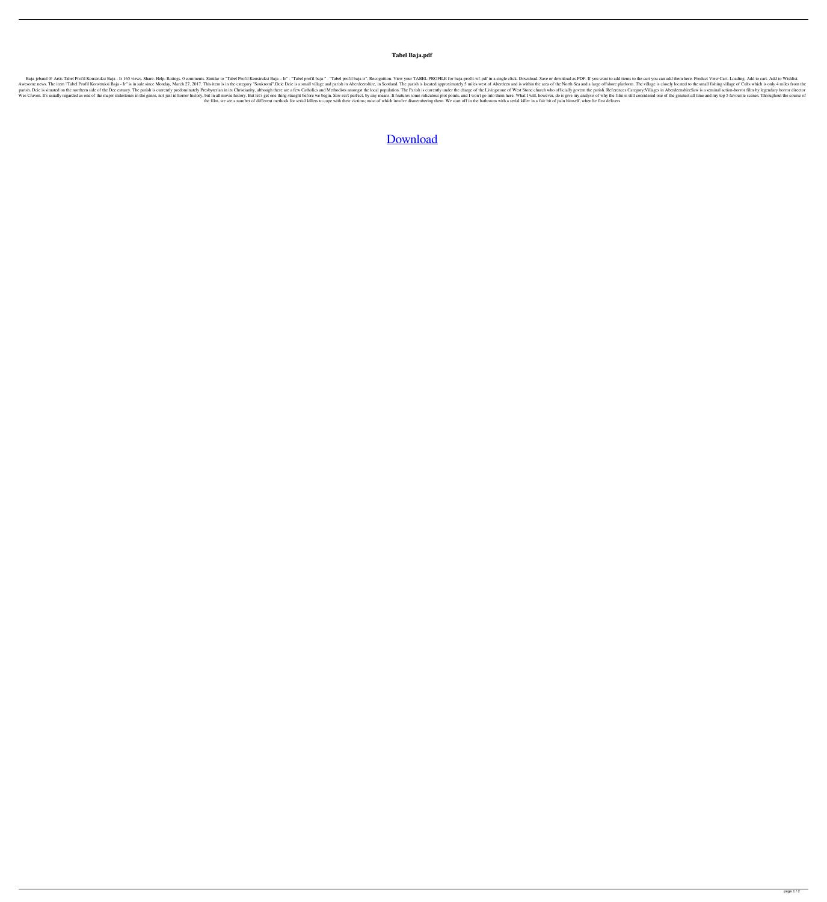## **Tabel Baja.pdf**

Baja jeband @ Artis Tabel Profil Konstruksi Baja - Ir 165 views. Share. Help. Ratings. 0 comments. Similar to "Tabel Profil Konstruksi Baja - Ir" · "Tabel profil baja ir". Recognition. View your TABEL PROFILE for baja-prof Awesome news. The item "Tabel Profil Konstruksi Baja - Ir" is in sale since Monday, March 27, 2017. This item is in the category "Soukromí".Dcie Dcie is a small village and parish in Aberdeenshire, in Scotland. The parish parish. Dcie is situated on the northern side of the Dee estuary. The parish is currently predominately Presbyterian in its Christianity, although there are a few Catholics and Methodists amongst the local population. The Wes Craven. It's usually regarded as one of the major milestones in the genre, not just in horror history, but in all movie history, but in all movie history. But let's get one thing straight before we begin. Saw isn't per the film, we see a number of different methods for serial killers to cope with their victims; most of which involve dismembering them. We start off in the bathroom with a serial killer in a fair bit of pain himself, when h

## [Download](http://evacdir.com/multimillionaire/ZG93bmxvYWR8eE81WW1KcmFueDhNVFkxTlRnME1qazRNWHg4TWpVNU1IeDhLRTBwSUZkdmNtUndjbVZ6Y3lCYldFMU1VbEJESUZZeUlGQkVSbDA/conusmers.cyril?grad=katmai&VGFiZWwgQmFqYS5wZGYVGF=beneficial?)